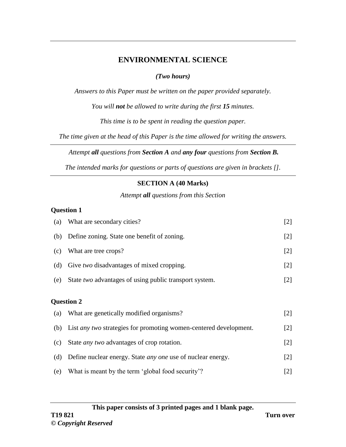# **ENVIRONMENTAL SCIENCE**

## *(Two hours)*

*Answers to this Paper must be written on the paper provided separately.* 

*You will not be allowed to write during the first 15 minutes.* 

*This time is to be spent in reading the question paper.*

*The time given at the head of this Paper is the time allowed for writing the answers.*

*Attempt all questions from Section A and any four questions from Section B.* 

*The intended marks for questions or parts of questions are given in brackets [].*

# **SECTION A (40 Marks)**

*Attempt all questions from this Section*

### **Question 1**

| (a) | What are secondary cities?                                               | $[2]$             |
|-----|--------------------------------------------------------------------------|-------------------|
| (b) | Define zoning. State one benefit of zoning.                              | $[2]$             |
| (c) | What are tree crops?                                                     | $\lceil 2 \rceil$ |
| (d) | Give two disadvantages of mixed cropping.                                | $[2]$             |
| (e) | State two advantages of using public transport system.                   | $[2]$             |
|     | <b>Question 2</b>                                                        |                   |
| (a) | What are genetically modified organisms?                                 | $[2]$             |
| (b) | List <i>any two</i> strategies for promoting women-centered development. | [2]               |
| (c) | State <i>any</i> two advantages of crop rotation.                        | $\lceil 2 \rceil$ |
| (d) | Define nuclear energy. State <i>any one</i> use of nuclear energy.       | $[2]$             |
|     |                                                                          |                   |

(e) What is meant by the term 'global food security'? [2]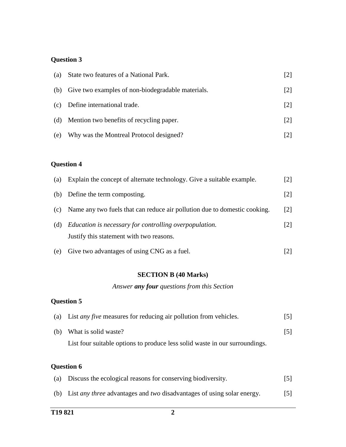## **Question 3**

| (a) | State two features of a National Park.                | [2]               |
|-----|-------------------------------------------------------|-------------------|
|     | (b) Give two examples of non-biodegradable materials. | $\lceil 2 \rceil$ |
| (c) | Define international trade.                           | $\lceil 2 \rceil$ |
| (d) | Mention two benefits of recycling paper.              | $\lceil 2 \rceil$ |
| (e) | Why was the Montreal Protocol designed?               |                   |

# **Question 4**

| (a) | Explain the concept of alternate technology. Give a suitable example.                              | $\lceil 2 \rceil$ |
|-----|----------------------------------------------------------------------------------------------------|-------------------|
| (b) | Define the term composting.                                                                        | $\lceil 2 \rceil$ |
| (c) | Name any two fuels that can reduce air pollution due to domestic cooking.                          | $\lceil 2 \rceil$ |
| (d) | Education is necessary for controlling overpopulation.<br>Justify this statement with two reasons. | 121               |
| (e) | Give two advantages of using CNG as a fuel.                                                        |                   |

## **SECTION B (40 Marks)**

*Answer any four questions from this Section*

## **Question 5**

| (a) List <i>any five</i> measures for reducing air pollution from vehicles. | [5]               |
|-----------------------------------------------------------------------------|-------------------|
| (b) What is solid waste?                                                    | $\lceil 5 \rceil$ |
| List four suitable options to produce less solid waste in our surroundings. |                   |

### **Question 6**

| (a) | Discuss the ecological reasons for conserving biodiversity.                              | $\lceil 5 \rceil$ |
|-----|------------------------------------------------------------------------------------------|-------------------|
|     | (b) List <i>any three</i> advantages and <i>two</i> disadvantages of using solar energy. | $\lceil 5 \rceil$ |